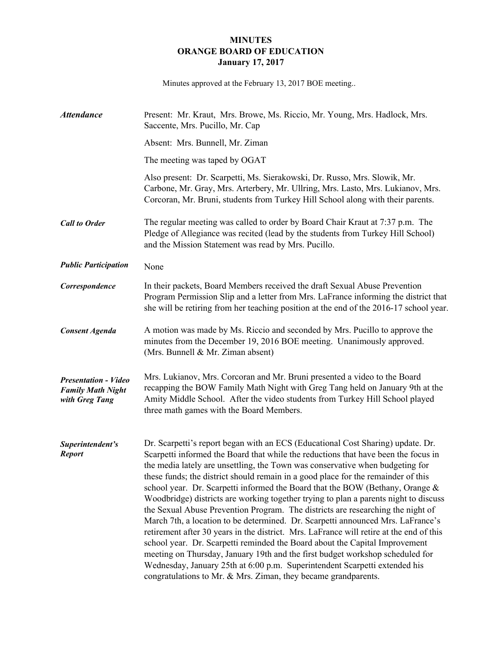## **MINUTES ORANGE BOARD OF EDUCATION January 17, 2017**

Minutes approved at the February 13, 2017 BOE meeting..

| <b>Attendance</b>                                                         | Present: Mr. Kraut, Mrs. Browe, Ms. Riccio, Mr. Young, Mrs. Hadlock, Mrs.<br>Saccente, Mrs. Pucillo, Mr. Cap                                                                                                                                                                                                                                                                                                                                                                                                                                                                                                                                                                                                                                                                                                                                                                                                                                                                                                                                                                                          |
|---------------------------------------------------------------------------|-------------------------------------------------------------------------------------------------------------------------------------------------------------------------------------------------------------------------------------------------------------------------------------------------------------------------------------------------------------------------------------------------------------------------------------------------------------------------------------------------------------------------------------------------------------------------------------------------------------------------------------------------------------------------------------------------------------------------------------------------------------------------------------------------------------------------------------------------------------------------------------------------------------------------------------------------------------------------------------------------------------------------------------------------------------------------------------------------------|
|                                                                           | Absent: Mrs. Bunnell, Mr. Ziman                                                                                                                                                                                                                                                                                                                                                                                                                                                                                                                                                                                                                                                                                                                                                                                                                                                                                                                                                                                                                                                                       |
|                                                                           | The meeting was taped by OGAT                                                                                                                                                                                                                                                                                                                                                                                                                                                                                                                                                                                                                                                                                                                                                                                                                                                                                                                                                                                                                                                                         |
|                                                                           | Also present: Dr. Scarpetti, Ms. Sierakowski, Dr. Russo, Mrs. Slowik, Mr.<br>Carbone, Mr. Gray, Mrs. Arterbery, Mr. Ullring, Mrs. Lasto, Mrs. Lukianov, Mrs.<br>Corcoran, Mr. Bruni, students from Turkey Hill School along with their parents.                                                                                                                                                                                                                                                                                                                                                                                                                                                                                                                                                                                                                                                                                                                                                                                                                                                       |
| <b>Call to Order</b>                                                      | The regular meeting was called to order by Board Chair Kraut at 7:37 p.m. The<br>Pledge of Allegiance was recited (lead by the students from Turkey Hill School)<br>and the Mission Statement was read by Mrs. Pucillo.                                                                                                                                                                                                                                                                                                                                                                                                                                                                                                                                                                                                                                                                                                                                                                                                                                                                               |
| <b>Public Participation</b>                                               | None                                                                                                                                                                                                                                                                                                                                                                                                                                                                                                                                                                                                                                                                                                                                                                                                                                                                                                                                                                                                                                                                                                  |
| Correspondence                                                            | In their packets, Board Members received the draft Sexual Abuse Prevention<br>Program Permission Slip and a letter from Mrs. LaFrance informing the district that<br>she will be retiring from her teaching position at the end of the 2016-17 school year.                                                                                                                                                                                                                                                                                                                                                                                                                                                                                                                                                                                                                                                                                                                                                                                                                                           |
| <b>Consent Agenda</b>                                                     | A motion was made by Ms. Riccio and seconded by Mrs. Pucillo to approve the<br>minutes from the December 19, 2016 BOE meeting. Unanimously approved.<br>(Mrs. Bunnell & Mr. Ziman absent)                                                                                                                                                                                                                                                                                                                                                                                                                                                                                                                                                                                                                                                                                                                                                                                                                                                                                                             |
| <b>Presentation - Video</b><br><b>Family Math Night</b><br>with Greg Tang | Mrs. Lukianov, Mrs. Corcoran and Mr. Bruni presented a video to the Board<br>recapping the BOW Family Math Night with Greg Tang held on January 9th at the<br>Amity Middle School. After the video students from Turkey Hill School played<br>three math games with the Board Members.                                                                                                                                                                                                                                                                                                                                                                                                                                                                                                                                                                                                                                                                                                                                                                                                                |
| Superintendent's<br><b>Report</b>                                         | Dr. Scarpetti's report began with an ECS (Educational Cost Sharing) update. Dr.<br>Scarpetti informed the Board that while the reductions that have been the focus in<br>the media lately are unsettling, the Town was conservative when budgeting for<br>these funds; the district should remain in a good place for the remainder of this<br>school year. Dr. Scarpetti informed the Board that the BOW (Bethany, Orange &<br>Woodbridge) districts are working together trying to plan a parents night to discuss<br>the Sexual Abuse Prevention Program. The districts are researching the night of<br>March 7th, a location to be determined. Dr. Scarpetti announced Mrs. LaFrance's<br>retirement after 30 years in the district. Mrs. LaFrance will retire at the end of this<br>school year. Dr. Scarpetti reminded the Board about the Capital Improvement<br>meeting on Thursday, January 19th and the first budget workshop scheduled for<br>Wednesday, January 25th at 6:00 p.m. Superintendent Scarpetti extended his<br>congratulations to Mr. & Mrs. Ziman, they became grandparents. |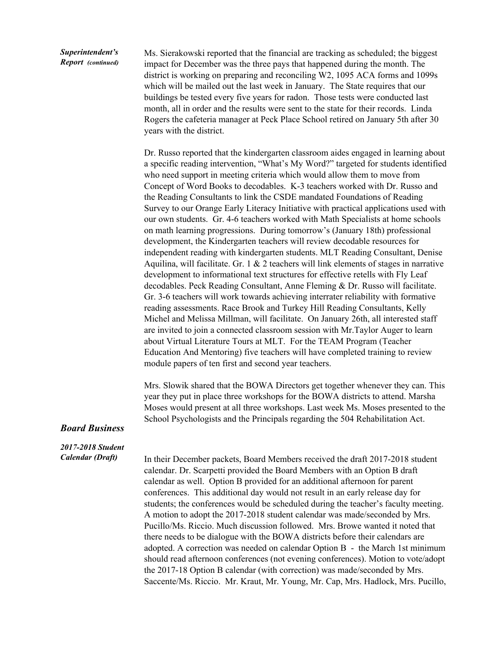## *Superintendent's Report (continued)*

Ms. Sierakowski reported that the financial are tracking as scheduled; the biggest impact for December was the three pays that happened during the month. The district is working on preparing and reconciling W2, 1095 ACA forms and 1099s which will be mailed out the last week in January. The State requires that our buildings be tested every five years for radon. Those tests were conducted last month, all in order and the results were sent to the state for their records. Linda Rogers the cafeteria manager at Peck Place School retired on January 5th after 30 years with the district.

Dr. Russo reported that the kindergarten classroom aides engaged in learning about a specific reading intervention, "What's My Word?" targeted for students identified who need support in meeting criteria which would allow them to move from Concept of Word Books to decodables. K-3 teachers worked with Dr. Russo and the Reading Consultants to link the CSDE mandated Foundations of Reading Survey to our Orange Early Literacy Initiative with practical applications used with our own students. Gr. 4-6 teachers worked with Math Specialists at home schools on math learning progressions. During tomorrow's (January 18th) professional development, the Kindergarten teachers will review decodable resources for independent reading with kindergarten students. MLT Reading Consultant, Denise Aquilina, will facilitate. Gr. 1  $&$  2 teachers will link elements of stages in narrative development to informational text structures for effective retells with Fly Leaf decodables. Peck Reading Consultant, Anne Fleming & Dr. Russo will facilitate. Gr. 3-6 teachers will work towards achieving interrater reliability with formative reading assessments. Race Brook and Turkey Hill Reading Consultants, Kelly Michel and Melissa Millman, will facilitate. On January 26th, all interested staff are invited to join a connected classroom session with Mr.Taylor Auger to learn about Virtual Literature Tours at MLT. For the TEAM Program (Teacher Education And Mentoring) five teachers will have completed training to review module papers of ten first and second year teachers.

Mrs. Slowik shared that the BOWA Directors get together whenever they can. This year they put in place three workshops for the BOWA districts to attend. Marsha Moses would present at all three workshops. Last week Ms. Moses presented to the School Psychologists and the Principals regarding the 504 Rehabilitation Act.

## *Board Business*

## *2017-2018 Student Calendar (Draft)*

In their December packets, Board Members received the draft 2017-2018 student calendar. Dr. Scarpetti provided the Board Members with an Option B draft calendar as well. Option B provided for an additional afternoon for parent conferences. This additional day would not result in an early release day for students; the conferences would be scheduled during the teacher's faculty meeting. A motion to adopt the 2017-2018 student calendar was made/seconded by Mrs. Pucillo/Ms. Riccio. Much discussion followed. Mrs. Browe wanted it noted that there needs to be dialogue with the BOWA districts before their calendars are adopted. A correction was needed on calendar Option B - the March 1st minimum should read afternoon conferences (not evening conferences). Motion to vote/adopt the 2017-18 Option B calendar (with correction) was made/seconded by Mrs. Saccente/Ms. Riccio. Mr. Kraut, Mr. Young, Mr. Cap, Mrs. Hadlock, Mrs. Pucillo,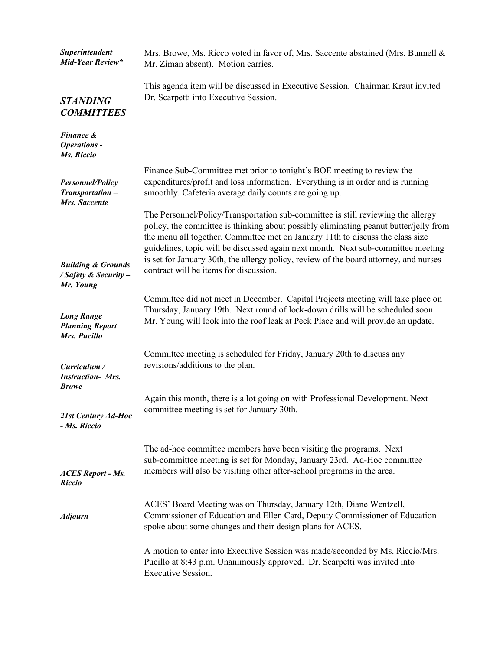| Superintendent<br>Mid-Year Review*                                  | Mrs. Browe, Ms. Ricco voted in favor of, Mrs. Saccente abstained (Mrs. Bunnell &<br>Mr. Ziman absent). Motion carries.                                                                                                                                                                                                                                                                                                                                                             |
|---------------------------------------------------------------------|------------------------------------------------------------------------------------------------------------------------------------------------------------------------------------------------------------------------------------------------------------------------------------------------------------------------------------------------------------------------------------------------------------------------------------------------------------------------------------|
| <b>STANDING</b><br><b>COMMITTEES</b>                                | This agenda item will be discussed in Executive Session. Chairman Kraut invited<br>Dr. Scarpetti into Executive Session.                                                                                                                                                                                                                                                                                                                                                           |
| <b>Finance &amp;</b><br><b>Operations -</b><br>Ms. Riccio           |                                                                                                                                                                                                                                                                                                                                                                                                                                                                                    |
| Personnel/Policy<br>Transportation-<br>Mrs. Saccente                | Finance Sub-Committee met prior to tonight's BOE meeting to review the<br>expenditures/profit and loss information. Everything is in order and is running<br>smoothly. Cafeteria average daily counts are going up.                                                                                                                                                                                                                                                                |
| <b>Building &amp; Grounds</b><br>/ Safety & Security -<br>Mr. Young | The Personnel/Policy/Transportation sub-committee is still reviewing the allergy<br>policy, the committee is thinking about possibly eliminating peanut butter/jelly from<br>the menu all together. Committee met on January 11th to discuss the class size<br>guidelines, topic will be discussed again next month. Next sub-committee meeting<br>is set for January 30th, the allergy policy, review of the board attorney, and nurses<br>contract will be items for discussion. |
| <b>Long Range</b><br><b>Planning Report</b><br>Mrs. Pucillo         | Committee did not meet in December. Capital Projects meeting will take place on<br>Thursday, January 19th. Next round of lock-down drills will be scheduled soon.<br>Mr. Young will look into the roof leak at Peck Place and will provide an update.                                                                                                                                                                                                                              |
| Curriculum /<br><b>Instruction- Mrs.</b><br><b>Browe</b>            | Committee meeting is scheduled for Friday, January 20th to discuss any<br>revisions/additions to the plan.                                                                                                                                                                                                                                                                                                                                                                         |
| 21st Century Ad-Hoc<br>- Ms. Riccio                                 | Again this month, there is a lot going on with Professional Development. Next<br>committee meeting is set for January 30th.                                                                                                                                                                                                                                                                                                                                                        |
| <b>ACES Report - Ms.</b><br><b>Riccio</b>                           | The ad-hoc committee members have been visiting the programs. Next<br>sub-committee meeting is set for Monday, January 23rd. Ad-Hoc committee<br>members will also be visiting other after-school programs in the area.                                                                                                                                                                                                                                                            |
| <b>Adjourn</b>                                                      | ACES' Board Meeting was on Thursday, January 12th, Diane Wentzell,<br>Commissioner of Education and Ellen Card, Deputy Commissioner of Education<br>spoke about some changes and their design plans for ACES.                                                                                                                                                                                                                                                                      |
|                                                                     | A motion to enter into Executive Session was made/seconded by Ms. Riccio/Mrs.<br>Pucillo at 8:43 p.m. Unanimously approved. Dr. Scarpetti was invited into<br><b>Executive Session.</b>                                                                                                                                                                                                                                                                                            |